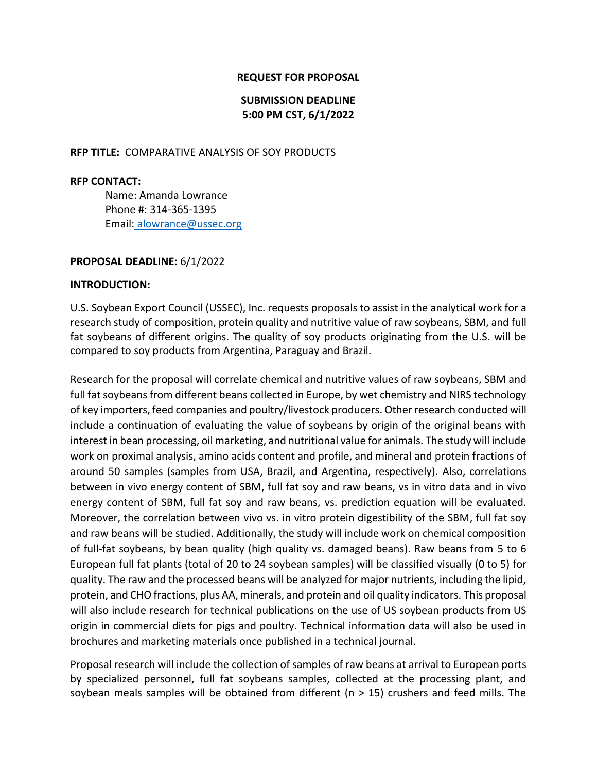### **REQUEST FOR PROPOSAL**

## **SUBMISSION DEADLINE 5:00 PM CST, 6/1/2022**

#### **RFP TITLE:** COMPARATIVE ANALYSIS OF SOY PRODUCTS

#### **RFP CONTACT:**

Name: Amanda Lowrance Phone #: 314-365-1395 Email: alowrance@ussec.org

#### **PROPOSAL DEADLINE:** 6/1/2022

#### **INTRODUCTION:**

U.S. Soybean Export Council (USSEC), Inc. requests proposals to assist in the analytical work for a research study of composition, protein quality and nutritive value of raw soybeans, SBM, and full fat soybeans of different origins. The quality of soy products originating from the U.S. will be compared to soy products from Argentina, Paraguay and Brazil.

Research for the proposal will correlate chemical and nutritive values of raw soybeans, SBM and full fat soybeans from different beans collected in Europe, by wet chemistry and NIRS technology of key importers, feed companies and poultry/livestock producers. Other research conducted will include a continuation of evaluating the value of soybeans by origin of the original beans with interest in bean processing, oil marketing, and nutritional value for animals. The study will include work on proximal analysis, amino acids content and profile, and mineral and protein fractions of around 50 samples (samples from USA, Brazil, and Argentina, respectively). Also, correlations between in vivo energy content of SBM, full fat soy and raw beans, vs in vitro data and in vivo energy content of SBM, full fat soy and raw beans, vs. prediction equation will be evaluated. Moreover, the correlation between vivo vs. in vitro protein digestibility of the SBM, full fat soy and raw beans will be studied. Additionally, the study will include work on chemical composition of full-fat soybeans, by bean quality (high quality vs. damaged beans). Raw beans from 5 to 6 European full fat plants (total of 20 to 24 soybean samples) will be classified visually (0 to 5) for quality. The raw and the processed beans will be analyzed for major nutrients, including the lipid, protein, and CHO fractions, plus AA, minerals, and protein and oil quality indicators. This proposal will also include research for technical publications on the use of US soybean products from US origin in commercial diets for pigs and poultry. Technical information data will also be used in brochures and marketing materials once published in a technical journal.

Proposal research will include the collection of samples of raw beans at arrival to European ports by specialized personnel, full fat soybeans samples, collected at the processing plant, and soybean meals samples will be obtained from different ( $n > 15$ ) crushers and feed mills. The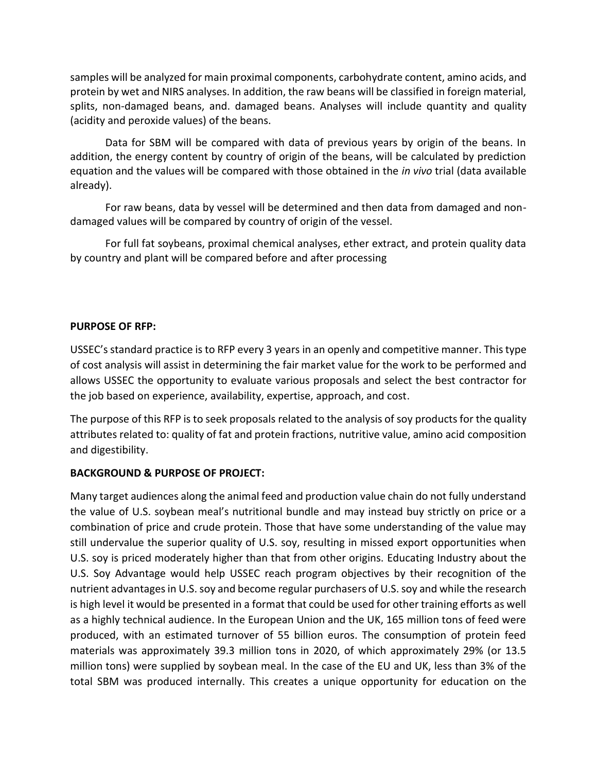samples will be analyzed for main proximal components, carbohydrate content, amino acids, and protein by wet and NIRS analyses. In addition, the raw beans will be classified in foreign material, splits, non-damaged beans, and. damaged beans. Analyses will include quantity and quality (acidity and peroxide values) of the beans.

Data for SBM will be compared with data of previous years by origin of the beans. In addition, the energy content by country of origin of the beans, will be calculated by prediction equation and the values will be compared with those obtained in the *in vivo* trial (data available already).

For raw beans, data by vessel will be determined and then data from damaged and nondamaged values will be compared by country of origin of the vessel.

For full fat soybeans, proximal chemical analyses, ether extract, and protein quality data by country and plant will be compared before and after processing

# **PURPOSE OF RFP:**

USSEC's standard practice is to RFP every 3 years in an openly and competitive manner. This type of cost analysis will assist in determining the fair market value for the work to be performed and allows USSEC the opportunity to evaluate various proposals and select the best contractor for the job based on experience, availability, expertise, approach, and cost.

The purpose of this RFP is to seek proposals related to the analysis of soy products for the quality attributes related to: quality of fat and protein fractions, nutritive value, amino acid composition and digestibility.

## **BACKGROUND & PURPOSE OF PROJECT:**

Many target audiences along the animal feed and production value chain do not fully understand the value of U.S. soybean meal's nutritional bundle and may instead buy strictly on price or a combination of price and crude protein. Those that have some understanding of the value may still undervalue the superior quality of U.S. soy, resulting in missed export opportunities when U.S. soy is priced moderately higher than that from other origins. Educating Industry about the U.S. Soy Advantage would help USSEC reach program objectives by their recognition of the nutrient advantages in U.S. soy and become regular purchasers of U.S. soy and while the research is high level it would be presented in a format that could be used for other training efforts as well as a highly technical audience. In the European Union and the UK, 165 million tons of feed were produced, with an estimated turnover of 55 billion euros. The consumption of protein feed materials was approximately 39.3 million tons in 2020, of which approximately 29% (or 13.5 million tons) were supplied by soybean meal. In the case of the EU and UK, less than 3% of the total SBM was produced internally. This creates a unique opportunity for education on the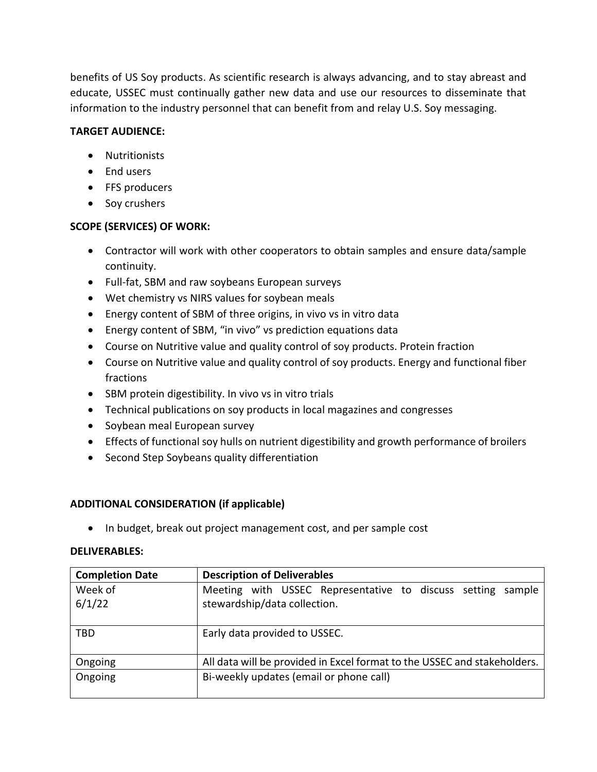benefits of US Soy products. As scientific research is always advancing, and to stay abreast and educate, USSEC must continually gather new data and use our resources to disseminate that information to the industry personnel that can benefit from and relay U.S. Soy messaging.

# **TARGET AUDIENCE:**

- Nutritionists
- End users
- FFS producers
- Soy crushers

## **SCOPE (SERVICES) OF WORK:**

- Contractor will work with other cooperators to obtain samples and ensure data/sample continuity.
- Full-fat, SBM and raw soybeans European surveys
- Wet chemistry vs NIRS values for soybean meals
- Energy content of SBM of three origins, in vivo vs in vitro data
- Energy content of SBM, "in vivo" vs prediction equations data
- Course on Nutritive value and quality control of soy products. Protein fraction
- Course on Nutritive value and quality control of soy products. Energy and functional fiber fractions
- SBM protein digestibility. In vivo vs in vitro trials
- Technical publications on soy products in local magazines and congresses
- Soybean meal European survey
- Effects of functional soy hulls on nutrient digestibility and growth performance of broilers
- Second Step Soybeans quality differentiation

# **ADDITIONAL CONSIDERATION (if applicable)**

• In budget, break out project management cost, and per sample cost

## **DELIVERABLES:**

| <b>Completion Date</b> | <b>Description of Deliverables</b>                                       |  |
|------------------------|--------------------------------------------------------------------------|--|
| Week of                | Meeting with USSEC Representative to discuss setting sample              |  |
| 6/1/22                 | stewardship/data collection.                                             |  |
|                        |                                                                          |  |
| <b>TBD</b>             | Early data provided to USSEC.                                            |  |
| Ongoing                | All data will be provided in Excel format to the USSEC and stakeholders. |  |
| Ongoing                | Bi-weekly updates (email or phone call)                                  |  |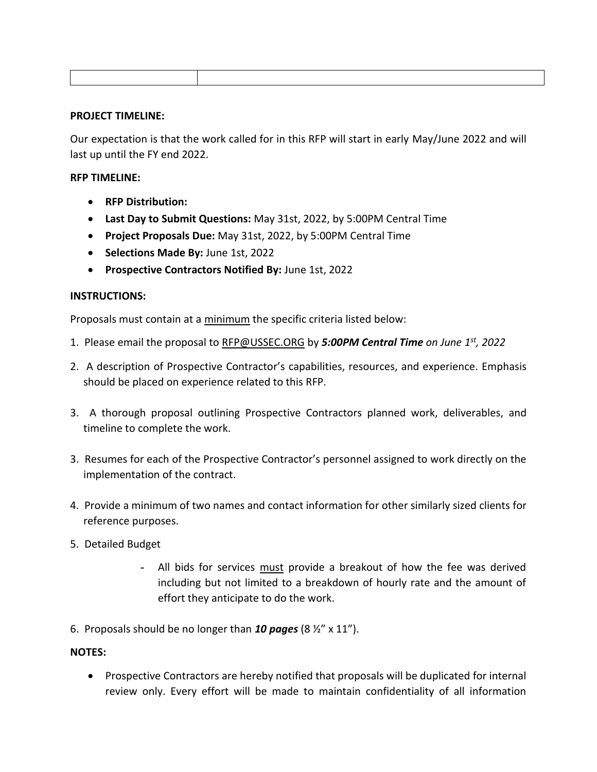### **PROJECT TIMELINE:**

Our expectation is that the work called for in this RFP will start in early May/June 2022 and will last up until the FY end 2022.

## **RFP TIMELINE:**

- **RFP Distribution:**
- **Last Day to Submit Questions:** May 31st, 2022, by 5:00PM Central Time
- **Project Proposals Due:** May 31st, 2022, by 5:00PM Central Time
- **Selections Made By:** June 1st, 2022
- **Prospective Contractors Notified By:** June 1st, 2022

## **INSTRUCTIONS:**

Proposals must contain at a minimum the specific criteria listed below:

- 1. Please email the proposal to [RFP@USSEC.ORG](mailto:RFP@USSEC.ORG) by *5:00PM Central Time on June 1st, 2022*
- 2. A description of Prospective Contractor's capabilities, resources, and experience. Emphasis should be placed on experience related to this RFP.
- 3. A thorough proposal outlining Prospective Contractors planned work, deliverables, and timeline to complete the work.
- 3. Resumes for each of the Prospective Contractor's personnel assigned to work directly on the implementation of the contract.
- 4. Provide a minimum of two names and contact information for other similarly sized clients for reference purposes.
- 5. Detailed Budget
	- **-** All bids for services must provide a breakout of how the fee was derived including but not limited to a breakdown of hourly rate and the amount of effort they anticipate to do the work.
- 6. Proposals should be no longer than *10 pages* (8 ½" x 11").

## **NOTES:**

• Prospective Contractors are hereby notified that proposals will be duplicated for internal review only. Every effort will be made to maintain confidentiality of all information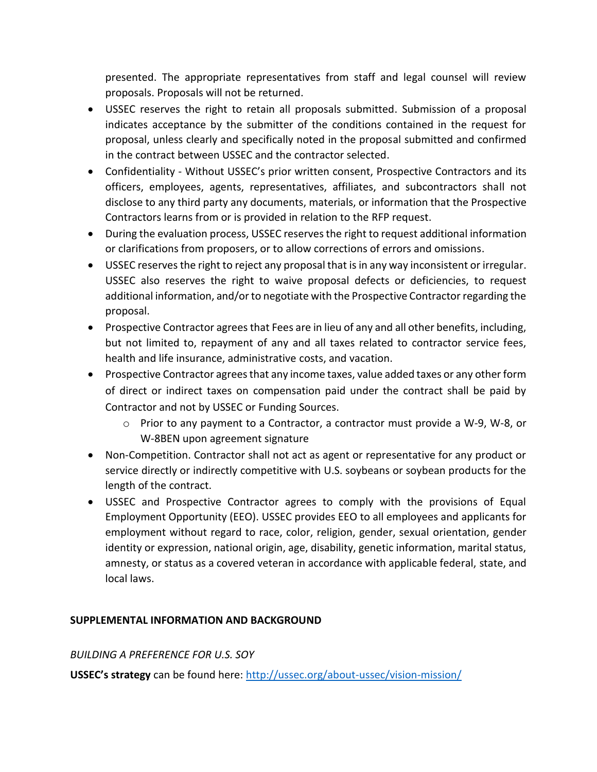presented. The appropriate representatives from staff and legal counsel will review proposals. Proposals will not be returned.

- USSEC reserves the right to retain all proposals submitted. Submission of a proposal indicates acceptance by the submitter of the conditions contained in the request for proposal, unless clearly and specifically noted in the proposal submitted and confirmed in the contract between USSEC and the contractor selected.
- Confidentiality Without USSEC's prior written consent, Prospective Contractors and its officers, employees, agents, representatives, affiliates, and subcontractors shall not disclose to any third party any documents, materials, or information that the Prospective Contractors learns from or is provided in relation to the RFP request.
- During the evaluation process, USSEC reserves the right to request additional information or clarifications from proposers, or to allow corrections of errors and omissions.
- USSEC reserves the right to reject any proposal that is in any way inconsistent or irregular. USSEC also reserves the right to waive proposal defects or deficiencies, to request additional information, and/or to negotiate with the Prospective Contractor regarding the proposal.
- Prospective Contractor agrees that Fees are in lieu of any and all other benefits, including, but not limited to, repayment of any and all taxes related to contractor service fees, health and life insurance, administrative costs, and vacation.
- Prospective Contractor agrees that any income taxes, value added taxes or any other form of direct or indirect taxes on compensation paid under the contract shall be paid by Contractor and not by USSEC or Funding Sources.
	- o Prior to any payment to a Contractor, a contractor must provide a W-9, W-8, or W-8BEN upon agreement signature
- Non-Competition. Contractor shall not act as agent or representative for any product or service directly or indirectly competitive with U.S. soybeans or soybean products for the length of the contract.
- USSEC and Prospective Contractor agrees to comply with the provisions of Equal Employment Opportunity (EEO). USSEC provides EEO to all employees and applicants for employment without regard to race, color, religion, gender, sexual orientation, gender identity or expression, national origin, age, disability, genetic information, marital status, amnesty, or status as a covered veteran in accordance with applicable federal, state, and local laws.

# **SUPPLEMENTAL INFORMATION AND BACKGROUND**

## *BUILDING A PREFERENCE FOR U.S. SOY*

**USSEC's strategy** can be found here: <http://ussec.org/about-ussec/vision-mission/>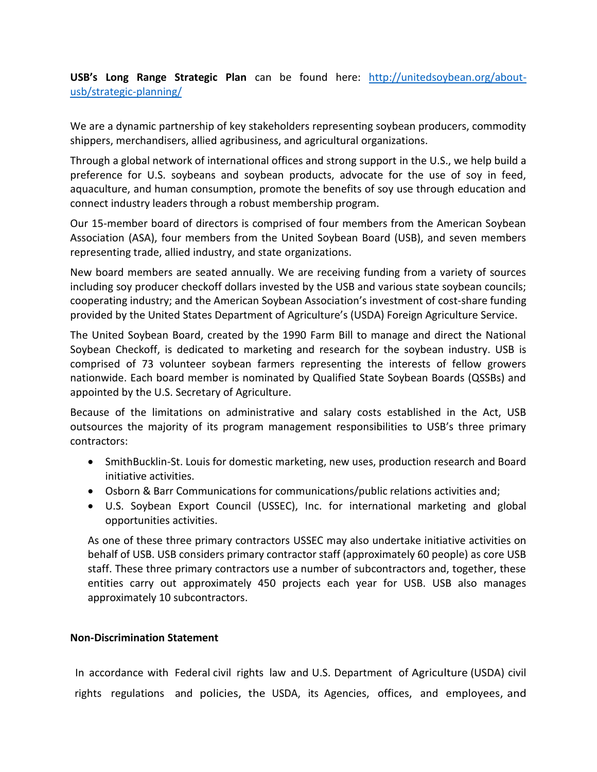**USB's Long Range Strategic Plan** can be found here: [http://unitedsoybean.org/about](http://unitedsoybean.org/about-usb/strategic-planning/)[usb/strategic-planning/](http://unitedsoybean.org/about-usb/strategic-planning/)

We are a dynamic partnership of key stakeholders representing soybean producers, commodity shippers, merchandisers, allied agribusiness, and agricultural organizations.

Through a global network of international offices and strong support in the U.S., we help build a preference for U.S. soybeans and soybean products, advocate for the use of soy in feed, aquaculture, and human consumption, promote the benefits of soy use through education and connect industry leaders through a robust membership program.

Our 15-member board of directors is comprised of four members from the American Soybean Association (ASA), four members from the United Soybean Board (USB), and seven members representing trade, allied industry, and state organizations.

New board members are seated annually. We are receiving funding from a variety of sources including soy producer checkoff dollars invested by the USB and various state soybean councils; cooperating industry; and the American Soybean Association's investment of cost-share funding provided by the United States Department of Agriculture's (USDA) Foreign Agriculture Service.

The United Soybean Board, created by the 1990 Farm Bill to manage and direct the National Soybean Checkoff, is dedicated to marketing and research for the soybean industry. USB is comprised of 73 volunteer soybean farmers representing the interests of fellow growers nationwide. Each board member is nominated by Qualified State Soybean Boards (QSSBs) and appointed by the U.S. Secretary of Agriculture.

Because of the limitations on administrative and salary costs established in the Act, USB outsources the majority of its program management responsibilities to USB's three primary contractors:

- SmithBucklin-St. Louis for domestic marketing, new uses, production research and Board initiative activities.
- Osborn & Barr Communications for communications/public relations activities and;
- U.S. Soybean Export Council (USSEC), Inc. for international marketing and global opportunities activities.

As one of these three primary contractors USSEC may also undertake initiative activities on behalf of USB. USB considers primary contractor staff (approximately 60 people) as core USB staff. These three primary contractors use a number of subcontractors and, together, these entities carry out approximately 450 projects each year for USB. USB also manages approximately 10 subcontractors.

## **Non-Discrimination Statement**

In accordance with Federal civil rights law and U.S. Department of Agriculture (USDA) civil rights regulations and policies, the USDA, its Agencies, offices, and employees, and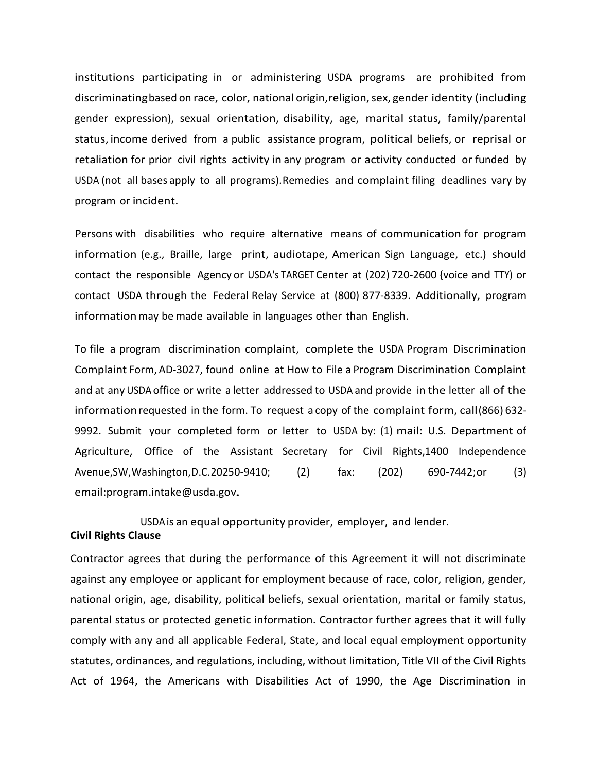institutions participating in or administering USDA programs are prohibited from discriminatingbased on race, color, national origin, religion, sex, gender identity (including gender expression), sexual orientation, disability, age, marital status, family/parental status, income derived from a public assistance program, political beliefs, or reprisal or retaliation for prior civil rights activity in any program or activity conducted or funded by USDA (not all bases apply to all programs).Remedies and complaint filing deadlines vary by program or incident.

Persons with disabilities who require alternative means of communication for program information (e.g., Braille, large print, audiotape, American Sign Language, etc.) should contact the responsible Agency or USDA's TARGET Center at (202) 720-2600 {voice and TTY) or contact USDA through the Federal Relay Service at (800) 877-8339. Additionally, program informationmay be made available in languages other than English.

To file a program discrimination complaint, complete the USDA Program Discrimination Complaint Form, AD-3027, found online at How to File a Program Discrimination Complaint and at any USDA office or write a letter addressed to USDA and provide in the letter all of the informationrequested in the form. To request a copy of the complaint form, call(866) 632- 9992. Submit your completed form or letter to USDA by: (1) mail: U.S. Department of Agriculture, Office of the Assistant Secretary for Civil Rights,1400 Independence Avenue,SW,Washington,D.C.20250-9410; (2) fax: (202) 690-7442;or (3) [email:program.intake@usda.gov.](mailto:program.intake@usda.gov)

USDAis an equal opportunity provider, employer, and lender. **Civil Rights Clause**

Contractor agrees that during the performance of this Agreement it will not discriminate against any employee or applicant for employment because of race, color, religion, gender, national origin, age, disability, political beliefs, sexual orientation, marital or family status, parental status or protected genetic information. Contractor further agrees that it will fully comply with any and all applicable Federal, State, and local equal employment opportunity statutes, ordinances, and regulations, including, without limitation, Title VII of the Civil Rights Act of 1964, the Americans with Disabilities Act of 1990, the Age Discrimination in